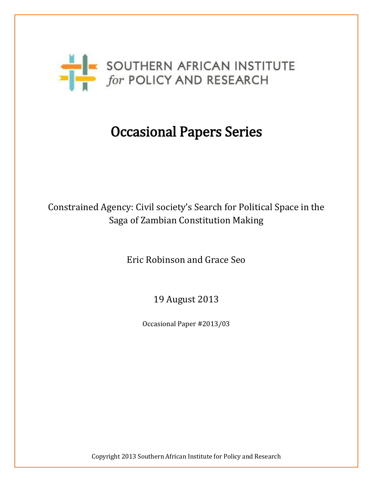

# Occasional Papers Series

# Constrained Agency: Civil society's Search for Political Space in the Saga of Zambian Constitution Making

Eric Robinson and Grace Seo

19 August 2013

Occasional Paper #2013/03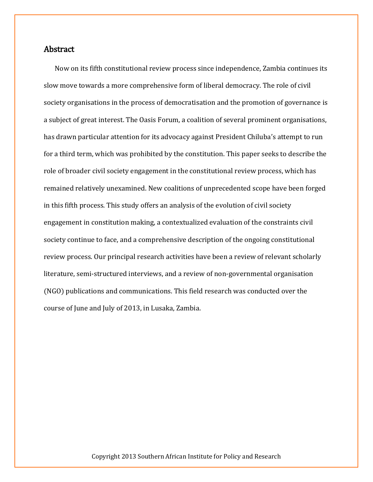## Abstract

Now on its fifth constitutional review process since independence, Zambia continues its slow move towards a more comprehensive form of liberal democracy. The role of civil society organisations in the process of democratisation and the promotion of governance is a subject of great interest. The Oasis Forum, a coalition of several prominent organisations, has drawn particular attention for its advocacy against President Chiluba's attempt to run for a third term, which was prohibited by the constitution. This paper seeks to describe the role of broader civil society engagement in the constitutional review process, which has remained relatively unexamined. New coalitions of unprecedented scope have been forged in this fifth process. This study offers an analysis of the evolution of civil society engagement in constitution making, a contextualized evaluation of the constraints civil society continue to face, and a comprehensive description of the ongoing constitutional review process. Our principal research activities have been a review of relevant scholarly literature, semi-structured interviews, and a review of non-governmental organisation (NGO) publications and communications. This field research was conducted over the course of June and July of 2013, in Lusaka, Zambia.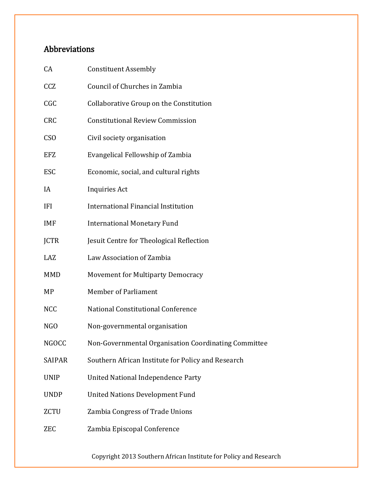# Abbreviations

| CA            | <b>Constituent Assembly</b>                          |
|---------------|------------------------------------------------------|
| CCZ           | Council of Churches in Zambia                        |
| CGC           | Collaborative Group on the Constitution              |
| <b>CRC</b>    | <b>Constitutional Review Commission</b>              |
| <b>CSO</b>    | Civil society organisation                           |
| <b>EFZ</b>    | Evangelical Fellowship of Zambia                     |
| <b>ESC</b>    | Economic, social, and cultural rights                |
| IA            | <b>Inquiries Act</b>                                 |
| IFI           | <b>International Financial Institution</b>           |
| <b>IMF</b>    | <b>International Monetary Fund</b>                   |
| <b>JCTR</b>   | Jesuit Centre for Theological Reflection             |
| LAZ           | Law Association of Zambia                            |
| <b>MMD</b>    | Movement for Multiparty Democracy                    |
| MP            | <b>Member of Parliament</b>                          |
| <b>NCC</b>    | National Constitutional Conference                   |
| NGO           | Non-governmental organisation                        |
| <b>NGOCC</b>  | Non-Governmental Organisation Coordinating Committee |
| <b>SAIPAR</b> | Southern African Institute for Policy and Research   |
| <b>UNIP</b>   | United National Independence Party                   |
| <b>UNDP</b>   | <b>United Nations Development Fund</b>               |
| <b>ZCTU</b>   | Zambia Congress of Trade Unions                      |
| ZEC           | Zambia Episcopal Conference                          |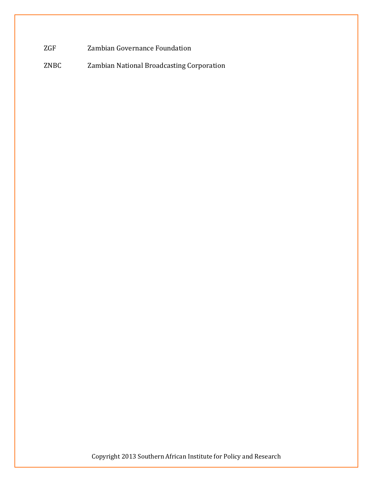ZGF Zambian Governance Foundation

ZNBC Zambian National Broadcasting Corporation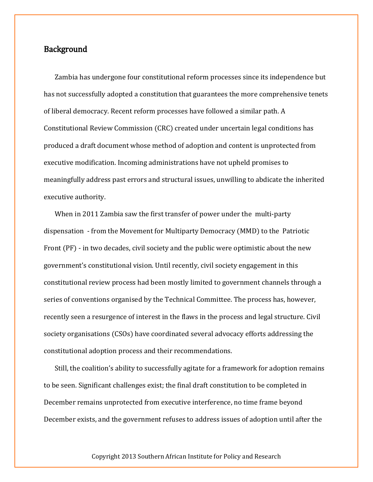### **Background**

Zambia has undergone four constitutional reform processes since its independence but has not successfully adopted a constitution that guarantees the more comprehensive tenets of liberal democracy. Recent reform processes have followed a similar path. A Constitutional Review Commission (CRC) created under uncertain legal conditions has produced a draft document whose method of adoption and content is unprotected from executive modification. Incoming administrations have not upheld promises to meaningfully address past errors and structural issues, unwilling to abdicate the inherited executive authority.

When in 2011 Zambia saw the first transfer of power under the multi-party dispensation - from the Movement for Multiparty Democracy (MMD) to the Patriotic Front (PF) - in two decades, civil society and the public were optimistic about the new government's constitutional vision. Until recently, civil society engagement in this constitutional review process had been mostly limited to government channels through a series of conventions organised by the Technical Committee. The process has, however, recently seen a resurgence of interest in the flaws in the process and legal structure. Civil society organisations (CSOs) have coordinated several advocacy efforts addressing the constitutional adoption process and their recommendations.

Still, the coalition's ability to successfully agitate for a framework for adoption remains to be seen. Significant challenges exist; the final draft constitution to be completed in December remains unprotected from executive interference, no time frame beyond December exists, and the government refuses to address issues of adoption until after the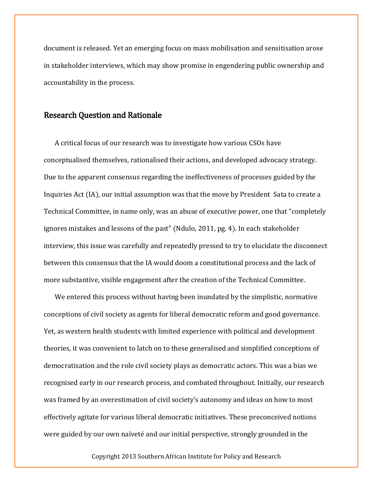document is released. Yet an emerging focus on mass mobilisation and sensitisation arose in stakeholder interviews, which may show promise in engendering public ownership and accountability in the process.

## Research Question and Rationale

A critical focus of our research was to investigate how various CSOs have conceptualised themselves, rationalised their actions, and developed advocacy strategy. Due to the apparent consensus regarding the ineffectiveness of processes guided by the Inquiries Act (IA), our initial assumption was that the move by President Sata to create a Technical Committee, in name only, was an abuse of executive power, one that "completely ignores mistakes and lessons of the past" (Ndulo, 2011, pg. 4). In each stakeholder interview, this issue was carefully and repeatedly pressed to try to elucidate the disconnect between this consensus that the IA would doom a constitutional process and the lack of more substantive, visible engagement after the creation of the Technical Committee.

We entered this process without having been inundated by the simplistic, normative conceptions of civil society as agents for liberal democratic reform and good governance. Yet, as western health students with limited experience with political and development theories, it was convenient to latch on to these generalised and simplified conceptions of democratisation and the role civil society plays as democratic actors. This was a bias we recognised early in our research process, and combated throughout. Initially, our research was framed by an overestimation of civil society's autonomy and ideas on how to most effectively agitate for various liberal democratic initiatives. These preconceived notions were guided by our own naïveté and our initial perspective, strongly grounded in the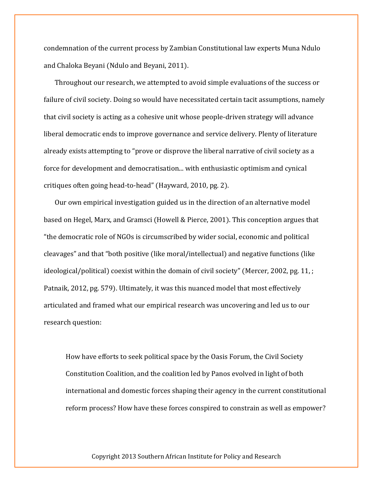condemnation of the current process by Zambian Constitutional law experts Muna Ndulo and Chaloka Beyani (Ndulo and Beyani, 2011).

Throughout our research, we attempted to avoid simple evaluations of the success or failure of civil society. Doing so would have necessitated certain tacit assumptions, namely that civil society is acting as a cohesive unit whose people-driven strategy will advance liberal democratic ends to improve governance and service delivery. Plenty of literature already exists attempting to "prove or disprove the liberal narrative of civil society as a force for development and democratisation... with enthusiastic optimism and cynical critiques often going head-to-head" (Hayward, 2010, pg. 2).

Our own empirical investigation guided us in the direction of an alternative model based on Hegel, Marx, and Gramsci (Howell & Pierce, 2001). This conception argues that "the democratic role of NGOs is circumscribed by wider social, economic and political cleavages" and that "both positive (like moral/intellectual) and negative functions (like ideological/political) coexist within the domain of civil society" (Mercer, 2002, pg. 11, ; Patnaik, 2012, pg. 579). Ultimately, it was this nuanced model that most effectively articulated and framed what our empirical research was uncovering and led us to our research question:

How have efforts to seek political space by the Oasis Forum, the Civil Society Constitution Coalition, and the coalition led by Panos evolved in light of both international and domestic forces shaping their agency in the current constitutional reform process? How have these forces conspired to constrain as well as empower?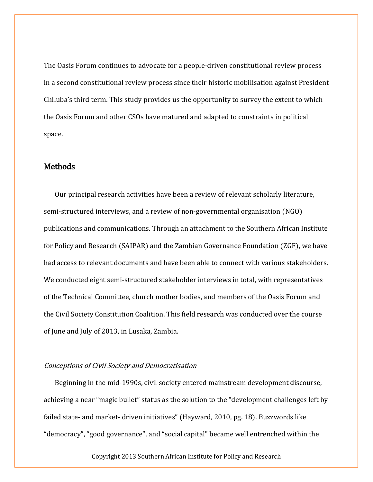The Oasis Forum continues to advocate for a people-driven constitutional review process in a second constitutional review process since their historic mobilisation against President Chiluba's third term. This study provides us the opportunity to survey the extent to which the Oasis Forum and other CSOs have matured and adapted to constraints in political space.

### **Methods**

Our principal research activities have been a review of relevant scholarly literature, semi-structured interviews, and a review of non-governmental organisation (NGO) publications and communications. Through an attachment to the Southern African Institute for Policy and Research (SAIPAR) and the Zambian Governance Foundation (ZGF), we have had access to relevant documents and have been able to connect with various stakeholders. We conducted eight semi-structured stakeholder interviews in total, with representatives of the Technical Committee, church mother bodies, and members of the Oasis Forum and the Civil Society Constitution Coalition. This field research was conducted over the course of June and July of 2013, in Lusaka, Zambia.

#### Conceptions of Civil Society and Democratisation

Beginning in the mid-1990s, civil society entered mainstream development discourse, achieving a near "magic bullet" status as the solution to the "development challenges left by failed state- and market- driven initiatives" (Hayward, 2010, pg. 18). Buzzwords like "democracy", "good governance", and "social capital" became well entrenched within the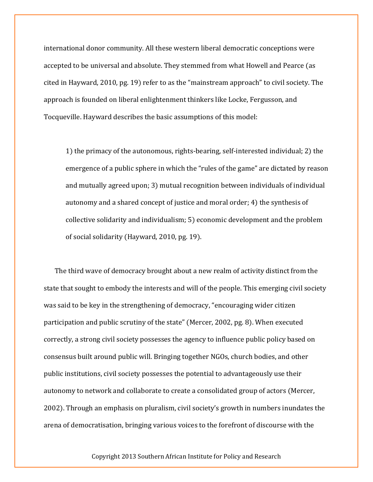international donor community. All these western liberal democratic conceptions were accepted to be universal and absolute. They stemmed from what Howell and Pearce (as cited in Hayward, 2010, pg. 19) refer to as the "mainstream approach" to civil society. The approach is founded on liberal enlightenment thinkers like Locke, Fergusson, and Tocqueville. Hayward describes the basic assumptions of this model:

1) the primacy of the autonomous, rights-bearing, self-interested individual; 2) the emergence of a public sphere in which the "rules of the game" are dictated by reason and mutually agreed upon; 3) mutual recognition between individuals of individual autonomy and a shared concept of justice and moral order; 4) the synthesis of collective solidarity and individualism; 5) economic development and the problem of social solidarity (Hayward, 2010, pg. 19).

The third wave of democracy brought about a new realm of activity distinct from the state that sought to embody the interests and will of the people. This emerging civil society was said to be key in the strengthening of democracy, "encouraging wider citizen participation and public scrutiny of the state" (Mercer, 2002, pg. 8). When executed correctly, a strong civil society possesses the agency to influence public policy based on consensus built around public will. Bringing together NGOs, church bodies, and other public institutions, civil society possesses the potential to advantageously use their autonomy to network and collaborate to create a consolidated group of actors (Mercer, 2002). Through an emphasis on pluralism, civil society's growth in numbers inundates the arena of democratisation, bringing various voices to the forefront of discourse with the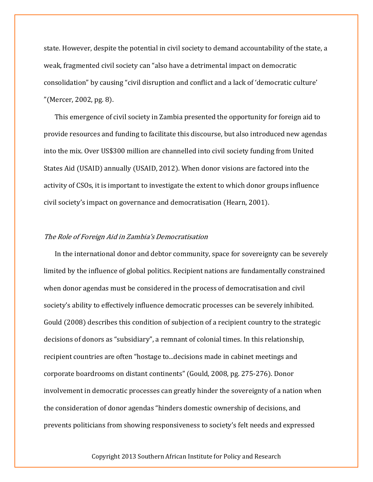state. However, despite the potential in civil society to demand accountability of the state, a weak, fragmented civil society can "also have a detrimental impact on democratic consolidation" by causing "civil disruption and conflict and a lack of 'democratic culture' "(Mercer, 2002, pg. 8).

This emergence of civil society in Zambia presented the opportunity for foreign aid to provide resources and funding to facilitate this discourse, but also introduced new agendas into the mix. Over US\$300 million are channelled into civil society funding from United States Aid (USAID) annually (USAID, 2012). When donor visions are factored into the activity of CSOs, it is important to investigate the extent to which donor groups influence civil society's impact on governance and democratisation (Hearn, 2001).

#### The Role of Foreign Aid in Zambia's Democratisation

In the international donor and debtor community, space for sovereignty can be severely limited by the influence of global politics. Recipient nations are fundamentally constrained when donor agendas must be considered in the process of democratisation and civil society's ability to effectively influence democratic processes can be severely inhibited. Gould (2008) describes this condition of subjection of a recipient country to the strategic decisions of donors as "subsidiary", a remnant of colonial times. In this relationship, recipient countries are often "hostage to...decisions made in cabinet meetings and corporate boardrooms on distant continents" (Gould, 2008, pg. 275-276). Donor involvement in democratic processes can greatly hinder the sovereignty of a nation when the consideration of donor agendas "hinders domestic ownership of decisions, and prevents politicians from showing responsiveness to society's felt needs and expressed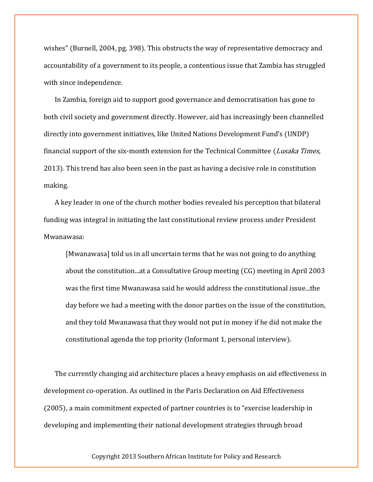wishes" (Burnell, 2004, pg. 398). This obstructs the way of representative democracy and accountability of a government to its people, a contentious issue that Zambia has struggled with since independence.

In Zambia, foreign aid to support good governance and democratisation has gone to both civil society and government directly. However, aid has increasingly been channelled directly into government initiatives, like United Nations Development Fund's (UNDP) financial support of the six-month extension for the Technical Committee (Lusaka Times, 2013). This trend has also been seen in the past as having a decisive role in constitution making.

A key leader in one of the church mother bodies revealed his perception that bilateral funding was integral in initiating the last constitutional review process under President Mwanawasa:

[Mwanawasa] told us in all uncertain terms that he was not going to do anything about the constitution...at a Consultative Group meeting (CG) meeting in April 2003 was the first time Mwanawasa said he would address the constitutional issue...the day before we had a meeting with the donor parties on the issue of the constitution, and they told Mwanawasa that they would not put in money if he did not make the constitutional agenda the top priority (Informant 1, personal interview).

The currently changing aid architecture places a heavy emphasis on aid effectiveness in development co-operation. As outlined in the Paris Declaration on Aid Effectiveness (2005), a main commitment expected of partner countries is to "exercise leadership in developing and implementing their national development strategies through broad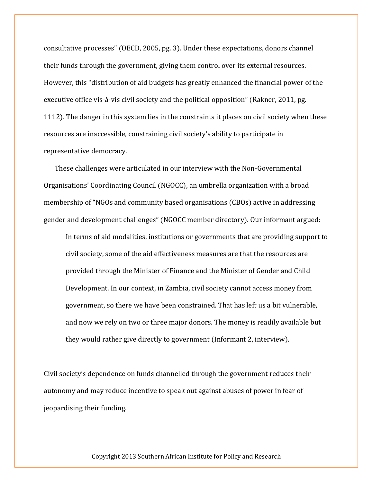consultative processes" (OECD, 2005, pg. 3). Under these expectations, donors channel their funds through the government, giving them control over its external resources. However, this "distribution of aid budgets has greatly enhanced the financial power of the executive office vis-à-vis civil society and the political opposition" (Rakner, 2011, pg. 1112). The danger in this system lies in the constraints it places on civil society when these resources are inaccessible, constraining civil society's ability to participate in representative democracy.

These challenges were articulated in our interview with the Non-Governmental Organisations' Coordinating Council (NGOCC), an umbrella organization with a broad membership of "NGOs and community based organisations (CBOs) active in addressing gender and development challenges" (NGOCC member directory). Our informant argued:

In terms of aid modalities, institutions or governments that are providing support to civil society, some of the aid effectiveness measures are that the resources are provided through the Minister of Finance and the Minister of Gender and Child Development. In our context, in Zambia, civil society cannot access money from government, so there we have been constrained. That has left us a bit vulnerable, and now we rely on two or three major donors. The money is readily available but they would rather give directly to government (Informant 2, interview).

Civil society's dependence on funds channelled through the government reduces their autonomy and may reduce incentive to speak out against abuses of power in fear of jeopardising their funding.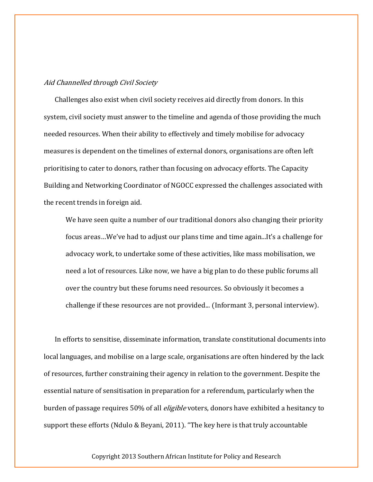#### Aid Channelled through Civil Society

Challenges also exist when civil society receives aid directly from donors. In this system, civil society must answer to the timeline and agenda of those providing the much needed resources. When their ability to effectively and timely mobilise for advocacy measures is dependent on the timelines of external donors, organisations are often left prioritising to cater to donors, rather than focusing on advocacy efforts. The Capacity Building and Networking Coordinator of NGOCC expressed the challenges associated with the recent trends in foreign aid.

We have seen quite a number of our traditional donors also changing their priority focus areas…We've had to adjust our plans time and time again...It's a challenge for advocacy work, to undertake some of these activities, like mass mobilisation, we need a lot of resources. Like now, we have a big plan to do these public forums all over the country but these forums need resources. So obviously it becomes a challenge if these resources are not provided... (Informant 3, personal interview).

In efforts to sensitise, disseminate information, translate constitutional documents into local languages, and mobilise on a large scale, organisations are often hindered by the lack of resources, further constraining their agency in relation to the government. Despite the essential nature of sensitisation in preparation for a referendum, particularly when the burden of passage requires 50% of all *eligible* voters, donors have exhibited a hesitancy to support these efforts (Ndulo & Beyani, 2011). "The key here is that truly accountable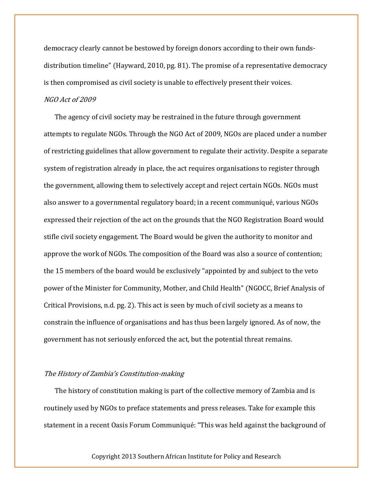democracy clearly cannot be bestowed by foreign donors according to their own fundsdistribution timeline" (Hayward, 2010, pg. 81). The promise of a representative democracy is then compromised as civil society is unable to effectively present their voices.

#### NGO Act of 2009

The agency of civil society may be restrained in the future through government attempts to regulate NGOs. Through the NGO Act of 2009, NGOs are placed under a number of restricting guidelines that allow government to regulate their activity. Despite a separate system of registration already in place, the act requires organisations to register through the government, allowing them to selectively accept and reject certain NGOs. NGOs must also answer to a governmental regulatory board; in a recent communiqué, various NGOs expressed their rejection of the act on the grounds that the NGO Registration Board would stifle civil society engagement. The Board would be given the authority to monitor and approve the work of NGOs. The composition of the Board was also a source of contention; the 15 members of the board would be exclusively "appointed by and subject to the veto power of the Minister for Community, Mother, and Child Health" (NGOCC, Brief Analysis of Critical Provisions, n.d. pg. 2). This act is seen by much of civil society as a means to constrain the influence of organisations and has thus been largely ignored. As of now, the government has not seriously enforced the act, but the potential threat remains.

#### The History of Zambia's Constitution-making

The history of constitution making is part of the collective memory of Zambia and is routinely used by NGOs to preface statements and press releases. Take for example this statement in a recent Oasis Forum Communiqué: "This was held against the background of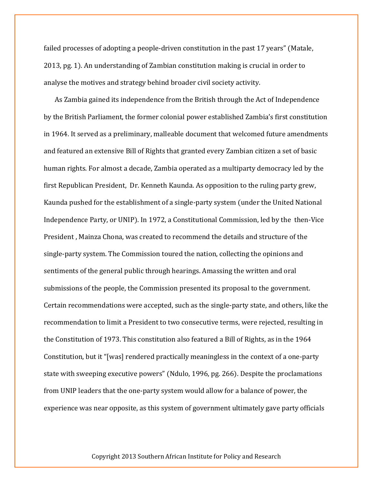failed processes of adopting a people-driven constitution in the past 17 years" (Matale, 2013, pg. 1). An understanding of Zambian constitution making is crucial in order to analyse the motives and strategy behind broader civil society activity.

As Zambia gained its independence from the British through the Act of Independence by the British Parliament, the former colonial power established Zambia's first constitution in 1964. It served as a preliminary, malleable document that welcomed future amendments and featured an extensive Bill of Rights that granted every Zambian citizen a set of basic human rights. For almost a decade, Zambia operated as a multiparty democracy led by the first Republican President, Dr. Kenneth Kaunda. As opposition to the ruling party grew, Kaunda pushed for the establishment of a single-party system (under the United National Independence Party, or UNIP). In 1972, a Constitutional Commission, led by the then-Vice President , Mainza Chona, was created to recommend the details and structure of the single-party system. The Commission toured the nation, collecting the opinions and sentiments of the general public through hearings. Amassing the written and oral submissions of the people, the Commission presented its proposal to the government. Certain recommendations were accepted, such as the single-party state, and others, like the recommendation to limit a President to two consecutive terms, were rejected, resulting in the Constitution of 1973. This constitution also featured a Bill of Rights, as in the 1964 Constitution, but it "[was] rendered practically meaningless in the context of a one-party state with sweeping executive powers" (Ndulo, 1996, pg. 266). Despite the proclamations from UNIP leaders that the one-party system would allow for a balance of power, the experience was near opposite, as this system of government ultimately gave party officials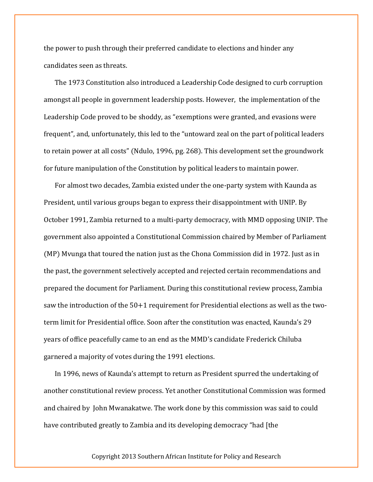the power to push through their preferred candidate to elections and hinder any candidates seen as threats.

The 1973 Constitution also introduced a Leadership Code designed to curb corruption amongst all people in government leadership posts. However, the implementation of the Leadership Code proved to be shoddy, as "exemptions were granted, and evasions were frequent", and, unfortunately, this led to the "untoward zeal on the part of political leaders to retain power at all costs" (Ndulo, 1996, pg. 268). This development set the groundwork for future manipulation of the Constitution by political leaders to maintain power.

For almost two decades, Zambia existed under the one-party system with Kaunda as President, until various groups began to express their disappointment with UNIP. By October 1991, Zambia returned to a multi-party democracy, with MMD opposing UNIP. The government also appointed a Constitutional Commission chaired by Member of Parliament (MP) Mvunga that toured the nation just as the Chona Commission did in 1972. Just as in the past, the government selectively accepted and rejected certain recommendations and prepared the document for Parliament. During this constitutional review process, Zambia saw the introduction of the 50+1 requirement for Presidential elections as well as the twoterm limit for Presidential office. Soon after the constitution was enacted, Kaunda's 29 years of office peacefully came to an end as the MMD's candidate Frederick Chiluba garnered a majority of votes during the 1991 elections.

In 1996, news of Kaunda's attempt to return as President spurred the undertaking of another constitutional review process. Yet another Constitutional Commission was formed and chaired by John Mwanakatwe. The work done by this commission was said to could have contributed greatly to Zambia and its developing democracy "had [the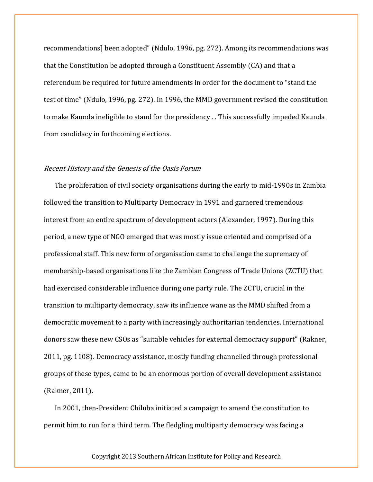recommendations] been adopted" (Ndulo, 1996, pg. 272). Among its recommendations was that the Constitution be adopted through a Constituent Assembly (CA) and that a referendum be required for future amendments in order for the document to "stand the test of time" (Ndulo, 1996, pg. 272). In 1996, the MMD government revised the constitution to make Kaunda ineligible to stand for the presidency . . This successfully impeded Kaunda from candidacy in forthcoming elections.

#### Recent History and the Genesis of the Oasis Forum

The proliferation of civil society organisations during the early to mid-1990s in Zambia followed the transition to Multiparty Democracy in 1991 and garnered tremendous interest from an entire spectrum of development actors (Alexander, 1997). During this period, a new type of NGO emerged that was mostly issue oriented and comprised of a professional staff. This new form of organisation came to challenge the supremacy of membership-based organisations like the Zambian Congress of Trade Unions (ZCTU) that had exercised considerable influence during one party rule. The ZCTU, crucial in the transition to multiparty democracy, saw its influence wane as the MMD shifted from a democratic movement to a party with increasingly authoritarian tendencies. International donors saw these new CSOs as "suitable vehicles for external democracy support" (Rakner, 2011, pg. 1108). Democracy assistance, mostly funding channelled through professional groups of these types, came to be an enormous portion of overall development assistance (Rakner, 2011).

In 2001, then-President Chiluba initiated a campaign to amend the constitution to permit him to run for a third term. The fledgling multiparty democracy was facing a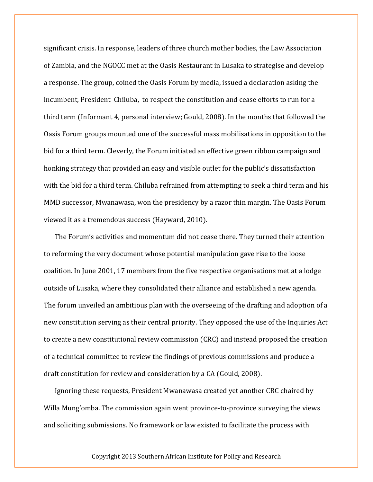significant crisis. In response, leaders of three church mother bodies, the Law Association of Zambia, and the NGOCC met at the Oasis Restaurant in Lusaka to strategise and develop a response. The group, coined the Oasis Forum by media, issued a declaration asking the incumbent, President Chiluba, to respect the constitution and cease efforts to run for a third term (Informant 4, personal interview; Gould, 2008). In the months that followed the Oasis Forum groups mounted one of the successful mass mobilisations in opposition to the bid for a third term. Cleverly, the Forum initiated an effective green ribbon campaign and honking strategy that provided an easy and visible outlet for the public's dissatisfaction with the bid for a third term. Chiluba refrained from attempting to seek a third term and his MMD successor, Mwanawasa, won the presidency by a razor thin margin. The Oasis Forum viewed it as a tremendous success (Hayward, 2010).

The Forum's activities and momentum did not cease there. They turned their attention to reforming the very document whose potential manipulation gave rise to the loose coalition. In June 2001, 17 members from the five respective organisations met at a lodge outside of Lusaka, where they consolidated their alliance and established a new agenda. The forum unveiled an ambitious plan with the overseeing of the drafting and adoption of a new constitution serving as their central priority. They opposed the use of the Inquiries Act to create a new constitutional review commission (CRC) and instead proposed the creation of a technical committee to review the findings of previous commissions and produce a draft constitution for review and consideration by a CA (Gould, 2008).

Ignoring these requests, President Mwanawasa created yet another CRC chaired by Willa Mung'omba. The commission again went province-to-province surveying the views and soliciting submissions. No framework or law existed to facilitate the process with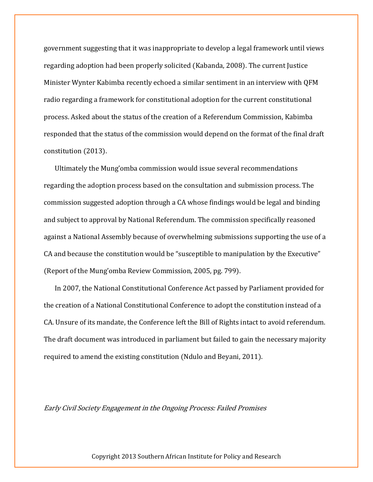government suggesting that it was inappropriate to develop a legal framework until views regarding adoption had been properly solicited (Kabanda, 2008). The current Justice Minister Wynter Kabimba recently echoed a similar sentiment in an interview with QFM radio regarding a framework for constitutional adoption for the current constitutional process. Asked about the status of the creation of a Referendum Commission, Kabimba responded that the status of the commission would depend on the format of the final draft constitution (2013).

Ultimately the Mung'omba commission would issue several recommendations regarding the adoption process based on the consultation and submission process. The commission suggested adoption through a CA whose findings would be legal and binding and subject to approval by National Referendum. The commission specifically reasoned against a National Assembly because of overwhelming submissions supporting the use of a CA and because the constitution would be "susceptible to manipulation by the Executive" (Report of the Mung'omba Review Commission, 2005, pg. 799).

In 2007, the National Constitutional Conference Act passed by Parliament provided for the creation of a National Constitutional Conference to adopt the constitution instead of a CA. Unsure of its mandate, the Conference left the Bill of Rights intact to avoid referendum. The draft document was introduced in parliament but failed to gain the necessary majority required to amend the existing constitution (Ndulo and Beyani, 2011).

Early Civil Society Engagement in the Ongoing Process: Failed Promises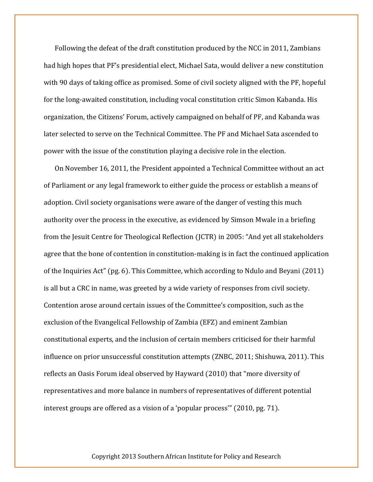Following the defeat of the draft constitution produced by the NCC in 2011, Zambians had high hopes that PF's presidential elect, Michael Sata, would deliver a new constitution with 90 days of taking office as promised. Some of civil society aligned with the PF, hopeful for the long-awaited constitution, including vocal constitution critic Simon Kabanda. His organization, the Citizens' Forum, actively campaigned on behalf of PF, and Kabanda was later selected to serve on the Technical Committee. The PF and Michael Sata ascended to power with the issue of the constitution playing a decisive role in the election.

On November 16, 2011, the President appointed a Technical Committee without an act of Parliament or any legal framework to either guide the process or establish a means of adoption. Civil society organisations were aware of the danger of vesting this much authority over the process in the executive, as evidenced by Simson Mwale in a briefing from the Jesuit Centre for Theological Reflection (JCTR) in 2005: "And yet all stakeholders agree that the bone of contention in constitution-making is in fact the continued application of the Inquiries Act" (pg. 6). This Committee, which according to Ndulo and Beyani (2011) is all but a CRC in name, was greeted by a wide variety of responses from civil society. Contention arose around certain issues of the Committee's composition, such as the exclusion of the Evangelical Fellowship of Zambia (EFZ) and eminent Zambian constitutional experts, and the inclusion of certain members criticised for their harmful influence on prior unsuccessful constitution attempts (ZNBC, 2011; Shishuwa, 2011). This reflects an Oasis Forum ideal observed by Hayward (2010) that "more diversity of representatives and more balance in numbers of representatives of different potential interest groups are offered as a vision of a 'popular process'" (2010, pg. 71).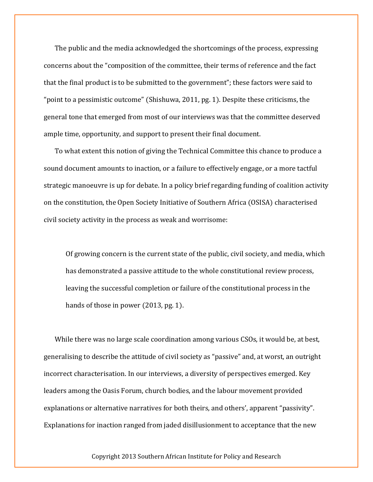The public and the media acknowledged the shortcomings of the process, expressing concerns about the "composition of the committee, their terms of reference and the fact that the final product is to be submitted to the government"; these factors were said to "point to a pessimistic outcome" (Shishuwa, 2011, pg. 1). Despite these criticisms, the general tone that emerged from most of our interviews was that the committee deserved ample time, opportunity, and support to present their final document.

To what extent this notion of giving the Technical Committee this chance to produce a sound document amounts to inaction, or a failure to effectively engage, or a more tactful strategic manoeuvre is up for debate. In a policy brief regarding funding of coalition activity on the constitution, the Open Society Initiative of Southern Africa (OSISA) characterised civil society activity in the process as weak and worrisome:

Of growing concern is the current state of the public, civil society, and media, which has demonstrated a passive attitude to the whole constitutional review process, leaving the successful completion or failure of the constitutional process in the hands of those in power (2013, pg. 1).

While there was no large scale coordination among various CSOs, it would be, at best, generalising to describe the attitude of civil society as "passive" and, at worst, an outright incorrect characterisation. In our interviews, a diversity of perspectives emerged. Key leaders among the Oasis Forum, church bodies, and the labour movement provided explanations or alternative narratives for both theirs, and others', apparent "passivity". Explanations for inaction ranged from jaded disillusionment to acceptance that the new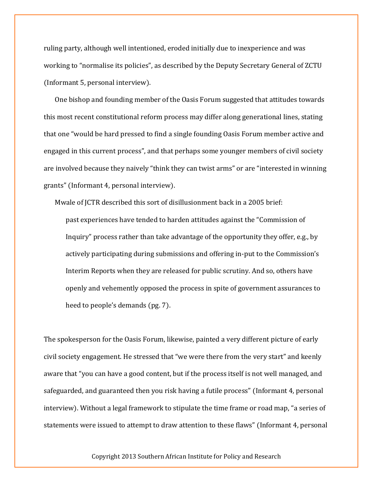ruling party, although well intentioned, eroded initially due to inexperience and was working to "normalise its policies", as described by the Deputy Secretary General of ZCTU (Informant 5, personal interview).

One bishop and founding member of the Oasis Forum suggested that attitudes towards this most recent constitutional reform process may differ along generational lines, stating that one "would be hard pressed to find a single founding Oasis Forum member active and engaged in this current process", and that perhaps some younger members of civil society are involved because they naively "think they can twist arms" or are "interested in winning grants" (Informant 4, personal interview).

Mwale of JCTR described this sort of disillusionment back in a 2005 brief:

past experiences have tended to harden attitudes against the "Commission of Inquiry" process rather than take advantage of the opportunity they offer, e.g., by actively participating during submissions and offering in-put to the Commission's Interim Reports when they are released for public scrutiny. And so, others have openly and vehemently opposed the process in spite of government assurances to heed to people's demands (pg. 7).

The spokesperson for the Oasis Forum, likewise, painted a very different picture of early civil society engagement. He stressed that "we were there from the very start" and keenly aware that "you can have a good content, but if the process itself is not well managed, and safeguarded, and guaranteed then you risk having a futile process" (Informant 4, personal interview). Without a legal framework to stipulate the time frame or road map, "a series of statements were issued to attempt to draw attention to these flaws" (Informant 4, personal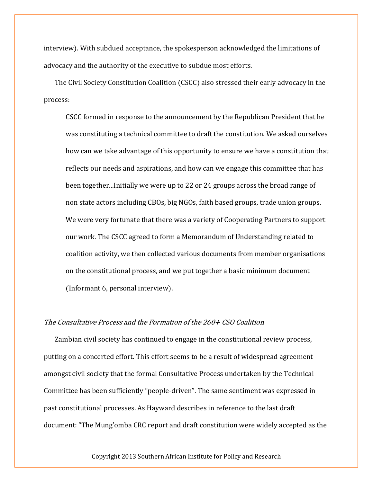interview). With subdued acceptance, the spokesperson acknowledged the limitations of advocacy and the authority of the executive to subdue most efforts.

The Civil Society Constitution Coalition (CSCC) also stressed their early advocacy in the process:

CSCC formed in response to the announcement by the Republican President that he was constituting a technical committee to draft the constitution. We asked ourselves how can we take advantage of this opportunity to ensure we have a constitution that reflects our needs and aspirations, and how can we engage this committee that has been together...Initially we were up to 22 or 24 groups across the broad range of non state actors including CBOs, big NGOs, faith based groups, trade union groups. We were very fortunate that there was a variety of Cooperating Partners to support our work. The CSCC agreed to form a Memorandum of Understanding related to coalition activity, we then collected various documents from member organisations on the constitutional process, and we put together a basic minimum document (Informant 6, personal interview).

### The Consultative Process and the Formation of the 260+ CSO Coalition

Zambian civil society has continued to engage in the constitutional review process, putting on a concerted effort. This effort seems to be a result of widespread agreement amongst civil society that the formal Consultative Process undertaken by the Technical Committee has been sufficiently "people-driven". The same sentiment was expressed in past constitutional processes. As Hayward describes in reference to the last draft document: "The Mung'omba CRC report and draft constitution were widely accepted as the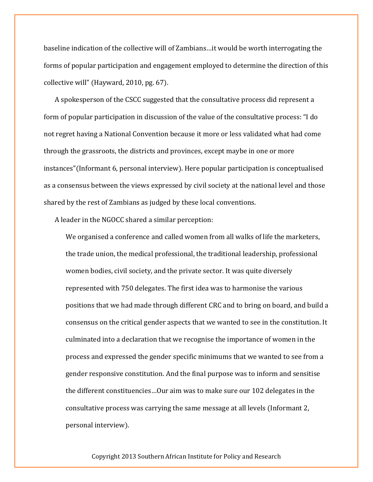baseline indication of the collective will of Zambians…it would be worth interrogating the forms of popular participation and engagement employed to determine the direction of this collective will" (Hayward, 2010, pg. 67).

A spokesperson of the CSCC suggested that the consultative process did represent a form of popular participation in discussion of the value of the consultative process: "I do not regret having a National Convention because it more or less validated what had come through the grassroots, the districts and provinces, except maybe in one or more instances"(Informant 6, personal interview). Here popular participation is conceptualised as a consensus between the views expressed by civil society at the national level and those shared by the rest of Zambians as judged by these local conventions.

A leader in the NGOCC shared a similar perception:

We organised a conference and called women from all walks of life the marketers, the trade union, the medical professional, the traditional leadership, professional women bodies, civil society, and the private sector. It was quite diversely represented with 750 delegates. The first idea was to harmonise the various positions that we had made through different CRC and to bring on board, and build a consensus on the critical gender aspects that we wanted to see in the constitution. It culminated into a declaration that we recognise the importance of women in the process and expressed the gender specific minimums that we wanted to see from a gender responsive constitution. And the final purpose was to inform and sensitise the different constituencies…Our aim was to make sure our 102 delegates in the consultative process was carrying the same message at all levels (Informant 2, personal interview).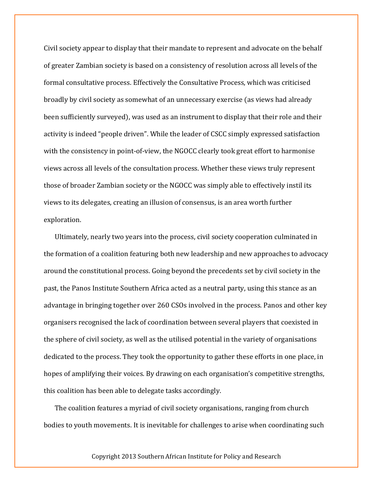Civil society appear to display that their mandate to represent and advocate on the behalf of greater Zambian society is based on a consistency of resolution across all levels of the formal consultative process. Effectively the Consultative Process, which was criticised broadly by civil society as somewhat of an unnecessary exercise (as views had already been sufficiently surveyed), was used as an instrument to display that their role and their activity is indeed "people driven". While the leader of CSCC simply expressed satisfaction with the consistency in point-of-view, the NGOCC clearly took great effort to harmonise views across all levels of the consultation process. Whether these views truly represent those of broader Zambian society or the NGOCC was simply able to effectively instil its views to its delegates, creating an illusion of consensus, is an area worth further exploration.

Ultimately, nearly two years into the process, civil society cooperation culminated in the formation of a coalition featuring both new leadership and new approaches to advocacy around the constitutional process. Going beyond the precedents set by civil society in the past, the Panos Institute Southern Africa acted as a neutral party, using this stance as an advantage in bringing together over 260 CSOs involved in the process. Panos and other key organisers recognised the lack of coordination between several players that coexisted in the sphere of civil society, as well as the utilised potential in the variety of organisations dedicated to the process. They took the opportunity to gather these efforts in one place, in hopes of amplifying their voices. By drawing on each organisation's competitive strengths, this coalition has been able to delegate tasks accordingly.

The coalition features a myriad of civil society organisations, ranging from church bodies to youth movements. It is inevitable for challenges to arise when coordinating such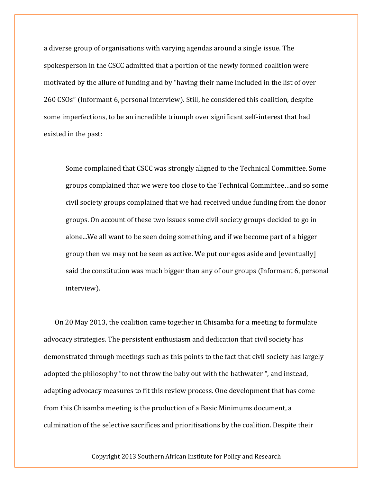a diverse group of organisations with varying agendas around a single issue. The spokesperson in the CSCC admitted that a portion of the newly formed coalition were motivated by the allure of funding and by "having their name included in the list of over 260 CSOs" (Informant 6, personal interview). Still, he considered this coalition, despite some imperfections, to be an incredible triumph over significant self-interest that had existed in the past:

Some complained that CSCC was strongly aligned to the Technical Committee. Some groups complained that we were too close to the Technical Committee…and so some civil society groups complained that we had received undue funding from the donor groups. On account of these two issues some civil society groups decided to go in alone...We all want to be seen doing something, and if we become part of a bigger group then we may not be seen as active. We put our egos aside and [eventually] said the constitution was much bigger than any of our groups (Informant 6, personal interview).

On 20 May 2013, the coalition came together in Chisamba for a meeting to formulate advocacy strategies. The persistent enthusiasm and dedication that civil society has demonstrated through meetings such as this points to the fact that civil society has largely adopted the philosophy "to not throw the baby out with the bathwater ", and instead, adapting advocacy measures to fit this review process. One development that has come from this Chisamba meeting is the production of a Basic Minimums document, a culmination of the selective sacrifices and prioritisations by the coalition. Despite their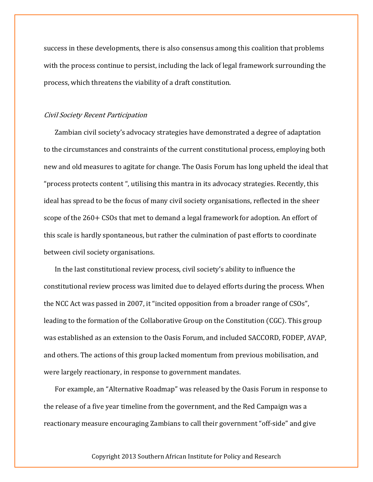success in these developments, there is also consensus among this coalition that problems with the process continue to persist, including the lack of legal framework surrounding the process, which threatens the viability of a draft constitution.

#### Civil Society Recent Participation

Zambian civil society's advocacy strategies have demonstrated a degree of adaptation to the circumstances and constraints of the current constitutional process, employing both new and old measures to agitate for change. The Oasis Forum has long upheld the ideal that "process protects content ", utilising this mantra in its advocacy strategies. Recently, this ideal has spread to be the focus of many civil society organisations, reflected in the sheer scope of the 260+ CSOs that met to demand a legal framework for adoption. An effort of this scale is hardly spontaneous, but rather the culmination of past efforts to coordinate between civil society organisations.

In the last constitutional review process, civil society's ability to influence the constitutional review process was limited due to delayed efforts during the process. When the NCC Act was passed in 2007, it "incited opposition from a broader range of CSOs", leading to the formation of the Collaborative Group on the Constitution (CGC). This group was established as an extension to the Oasis Forum, and included SACCORD, FODEP, AVAP, and others. The actions of this group lacked momentum from previous mobilisation, and were largely reactionary, in response to government mandates.

For example, an "Alternative Roadmap" was released by the Oasis Forum in response to the release of a five year timeline from the government, and the Red Campaign was a reactionary measure encouraging Zambians to call their government "off-side" and give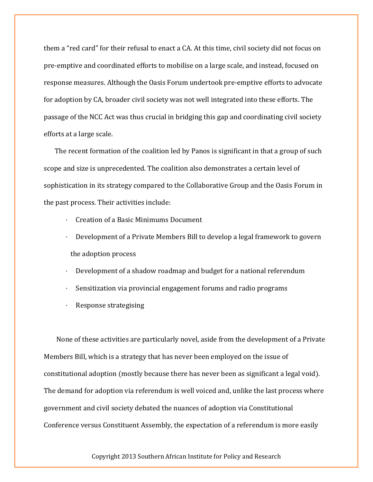them a "red card" for their refusal to enact a CA. At this time, civil society did not focus on pre-emptive and coordinated efforts to mobilise on a large scale, and instead, focused on response measures. Although the Oasis Forum undertook pre-emptive efforts to advocate for adoption by CA, broader civil society was not well integrated into these efforts. The passage of the NCC Act was thus crucial in bridging this gap and coordinating civil society efforts at a large scale.

The recent formation of the coalition led by Panos is significant in that a group of such scope and size is unprecedented. The coalition also demonstrates a certain level of sophistication in its strategy compared to the Collaborative Group and the Oasis Forum in the past process. Their activities include:

- · Creation of a Basic Minimums Document
- · Development of a Private Members Bill to develop a legal framework to govern the adoption process
- · Development of a shadow roadmap and budget for a national referendum
- · Sensitization via provincial engagement forums and radio programs
- Response strategising

None of these activities are particularly novel, aside from the development of a Private Members Bill, which is a strategy that has never been employed on the issue of constitutional adoption (mostly because there has never been as significant a legal void). The demand for adoption via referendum is well voiced and, unlike the last process where government and civil society debated the nuances of adoption via Constitutional Conference versus Constituent Assembly, the expectation of a referendum is more easily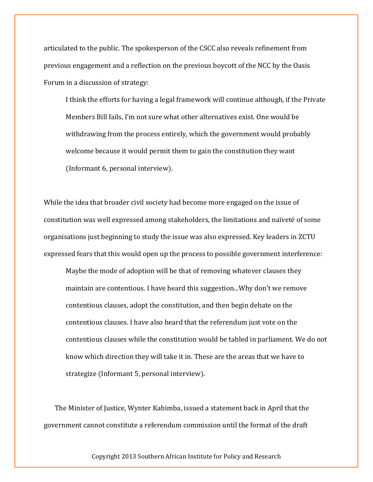articulated to the public. The spokesperson of the CSCC also reveals refinement from previous engagement and a reflection on the previous boycott of the NCC by the Oasis Forum in a discussion of strategy:

I think the efforts for having a legal framework will continue although, if the Private Members Bill fails, I'm not sure what other alternatives exist. One would be withdrawing from the process entirely, which the government would probably welcome because it would permit them to gain the constitution they want (Informant 6, personal interview).

While the idea that broader civil society had become more engaged on the issue of constitution was well expressed among stakeholders, the limitations and naïveté of some organisations just beginning to study the issue was also expressed. Key leaders in ZCTU expressed fears that this would open up the process to possible government interference:

Maybe the mode of adoption will be that of removing whatever clauses they maintain are contentious. I have heard this suggestion...Why don't we remove contentious clauses, adopt the constitution, and then begin debate on the contentious clauses. I have also heard that the referendum just vote on the contentious clauses while the constitution would be tabled in parliament. We do not know which direction they will take it in. These are the areas that we have to strategize (Informant 5, personal interview).

The Minister of Justice, Wynter Kabimba, issued a statement back in April that the government cannot constitute a referendum commission until the format of the draft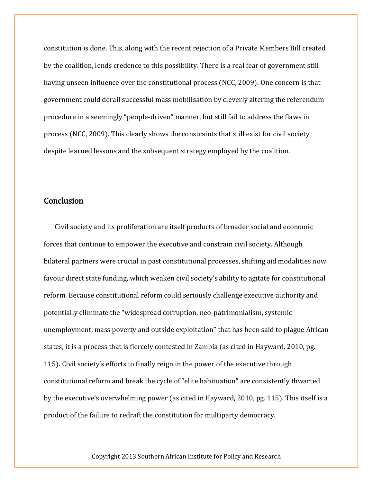constitution is done. This, along with the recent rejection of a Private Members Bill created by the coalition, lends credence to this possibility. There is a real fear of government still having unseen influence over the constitutional process (NCC, 2009). One concern is that government could derail successful mass mobilisation by cleverly altering the referendum procedure in a seemingly "people-driven" manner, but still fail to address the flaws in process (NCC, 2009). This clearly shows the constraints that still exist for civil society despite learned lessons and the subsequent strategy employed by the coalition.

### **Conclusion**

Civil society and its proliferation are itself products of broader social and economic forces that continue to empower the executive and constrain civil society. Although bilateral partners were crucial in past constitutional processes, shifting aid modalities now favour direct state funding, which weaken civil society's ability to agitate for constitutional reform. Because constitutional reform could seriously challenge executive authority and potentially eliminate the "widespread corruption, neo-patrimonialism, systemic unemployment, mass poverty and outside exploitation" that has been said to plague African states, it is a process that is fiercely contested in Zambia (as cited in Hayward, 2010, pg. 115). Civil society's efforts to finally reign in the power of the executive through constitutional reform and break the cycle of "elite habituation" are consistently thwarted by the executive's overwhelming power (as cited in Hayward, 2010, pg. 115). This itself is a product of the failure to redraft the constitution for multiparty democracy.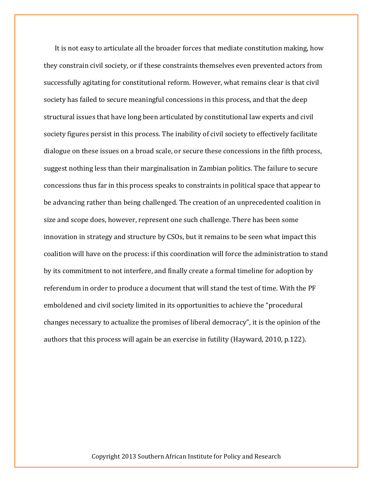It is not easy to articulate all the broader forces that mediate constitution making, how they constrain civil society, or if these constraints themselves even prevented actors from successfully agitating for constitutional reform. However, what remains clear is that civil society has failed to secure meaningful concessions in this process, and that the deep structural issues that have long been articulated by constitutional law experts and civil society figures persist in this process. The inability of civil society to effectively facilitate dialogue on these issues on a broad scale, or secure these concessions in the fifth process, suggest nothing less than their marginalisation in Zambian politics. The failure to secure concessions thus far in this process speaks to constraints in political space that appear to be advancing rather than being challenged. The creation of an unprecedented coalition in size and scope does, however, represent one such challenge. There has been some innovation in strategy and structure by CSOs, but it remains to be seen what impact this coalition will have on the process: if this coordination will force the administration to stand by its commitment to not interfere, and finally create a formal timeline for adoption by referendum in order to produce a document that will stand the test of time. With the PF emboldened and civil society limited in its opportunities to achieve the "procedural changes necessary to actualize the promises of liberal democracy", it is the opinion of the authors that this process will again be an exercise in futility (Hayward, 2010, p.122).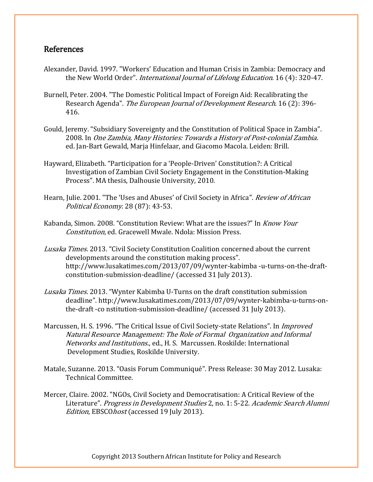# References

- Alexander, David. 1997. "Workers' Education and Human Crisis in Zambia: Democracy and the New World Order". International Journal of Lifelong Education. 16 (4): 320-47.
- Burnell, Peter. 2004. "The Domestic Political Impact of Foreign Aid: Recalibrating the Research Agenda". The European Journal of Development Research. 16 (2): 396-416.
- Gould, Jeremy. "Subsidiary Sovereignty and the Constitution of Political Space in Zambia". 2008. In One Zambia, Many Histories: Towards a History of Post-colonial Zambia. ed. Jan-Bart Gewald, Marja Hinfelaar, and Giacomo Macola. Leiden: Brill.
- Hayward, Elizabeth. "Participation for a 'People-Driven' Constitution?: A Critical Investigation of Zambian Civil Society Engagement in the Constitution-Making Process". MA thesis, Dalhousie University, 2010.
- Hearn, Julie. 2001. "The 'Uses and Abuses' of Civil Society in Africa". Review of African Political Economy. 28 (87): 43-53.
- Kabanda, Simon. 2008. "Constitution Review: What are the issues?" In Know Your Constitution, ed. Gracewell Mwale. Ndola: Mission Press.
- Lusaka Times. 2013. "Civil Society Constitution Coalition concerned about the current developments around the constitution making process". http://www.lusakatimes.com/2013/07/09/wynter-kabimba -u-turns-on-the-draftconstitution-submission-deadline/ (accessed 31 July 2013).
- Lusaka Times. 2013. "Wynter Kabimba U-Turns on the draft constitution submission deadline". http://www.lusakatimes.com/2013/07/09/wynter-kabimba-u-turns-onthe-draft -co nstitution-submission-deadline/ (accessed 31 July 2013).
- Marcussen, H. S. 1996. "The Critical Issue of Civil Society-state Relations". In *Improved* Natural Resource Management: The Role of Formal Organization and Informal Networks and Institutions., ed., H. S. Marcussen. Roskilde: International Development Studies, Roskilde University.
- Matale, Suzanne. 2013. "Oasis Forum Communiqué". Press Release: 30 May 2012. Lusaka: Technical Committee.
- Mercer, Claire. 2002. "NGOs, Civil Society and Democratisation: A Critical Review of the Literature". Progress in Development Studies 2, no. 1: 5-22. Academic Search Alumni Edition, EBSCOhost (accessed 19 July 2013).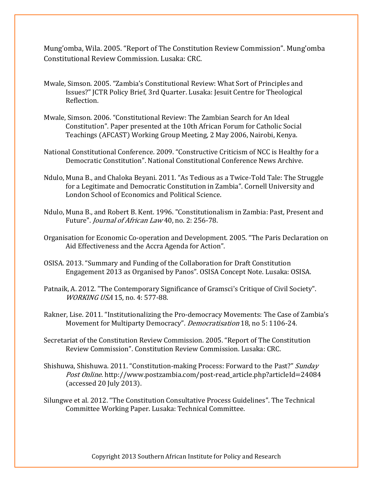Mung'omba, Wila. 2005. "Report of The Constitution Review Commission". Mung'omba Constitutional Review Commission. Lusaka: CRC.

- Mwale, Simson. 2005. "Zambia's Constitutional Review: What Sort of Principles and Issues?" JCTR Policy Brief, 3rd Quarter. Lusaka: Jesuit Centre for Theological Reflection.
- Mwale, Simson. 2006. "Constitutional Review: The Zambian Search for An Ideal Constitution". Paper presented at the 10th African Forum for Catholic Social Teachings (AFCAST) Working Group Meeting, 2 May 2006, Nairobi, Kenya.
- National Constitutional Conference. 2009. "Constructive Criticism of NCC is Healthy for a Democratic Constitution". National Constitutional Conference News Archive.
- Ndulo, Muna B., and Chaloka Beyani. 2011. "As Tedious as a Twice-Told Tale: The Struggle for a Legitimate and Democratic Constitution in Zambia". Cornell University and London School of Economics and Political Science.
- Ndulo, Muna B., and Robert B. Kent. 1996. "Constitutionalism in Zambia: Past, Present and Future". Journal of African Law 40, no. 2: 256-78.
- Organisation for Economic Co-operation and Development. 2005. "The Paris Declaration on Aid Effectiveness and the Accra Agenda for Action".
- OSISA. 2013. "Summary and Funding of the Collaboration for Draft Constitution Engagement 2013 as Organised by Panos". OSISA Concept Note. Lusaka: OSISA.
- Patnaik, A. 2012. "The Contemporary Significance of Gramsci's Critique of Civil Society". WORKING USA 15, no. 4: 577-88.
- Rakner, Lise. 2011. "Institutionalizing the Pro-democracy Movements: The Case of Zambia's Movement for Multiparty Democracy". Democratisation 18, no 5: 1106-24.
- Secretariat of the Constitution Review Commission. 2005. "Report of The Constitution Review Commission". Constitution Review Commission. Lusaka: CRC.
- Shishuwa, Shishuwa. 2011. "Constitution-making Process: Forward to the Past?" Sunday Post Online. http://www.postzambia.com/post-read\_article.php?articleId=24084 (accessed 20 July 2013).
- Silungwe et al. 2012. "The Constitution Consultative Process Guidelines". The Technical Committee Working Paper. Lusaka: Technical Committee.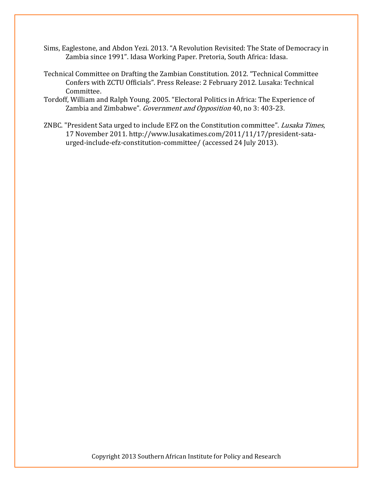- Sims, Eaglestone, and Abdon Yezi. 2013. "A Revolution Revisited: The State of Democracy in Zambia since 1991". Idasa Working Paper. Pretoria, South Africa: Idasa.
- Technical Committee on Drafting the Zambian Constitution. 2012. "Technical Committee Confers with ZCTU Officials". Press Release: 2 February 2012. Lusaka: Technical Committee.
- Tordoff, William and Ralph Young. 2005. "Electoral Politics in Africa: The Experience of Zambia and Zimbabwe". Government and Opposition 40, no 3: 403-23.
- ZNBC. "President Sata urged to include EFZ on the Constitution committee". Lusaka Times, 17 November 2011. http://www.lusakatimes.com/2011/11/17/president-sataurged-include-efz-constitution-committee/ (accessed 24 July 2013).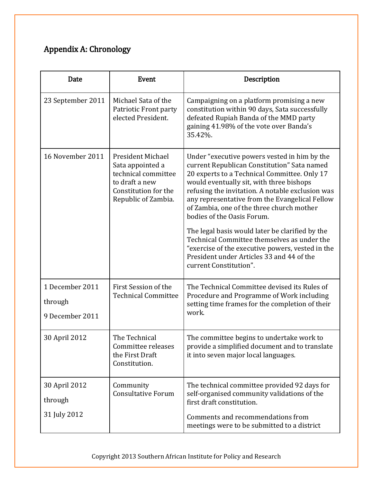# Appendix A: Chronology

| <b>Date</b>                                   | <b>Event</b>                                                                                                                         | Description                                                                                                                                                                                                                                                                                                                                                                                                                                                                                                                                                                                           |
|-----------------------------------------------|--------------------------------------------------------------------------------------------------------------------------------------|-------------------------------------------------------------------------------------------------------------------------------------------------------------------------------------------------------------------------------------------------------------------------------------------------------------------------------------------------------------------------------------------------------------------------------------------------------------------------------------------------------------------------------------------------------------------------------------------------------|
| 23 September 2011                             | Michael Sata of the<br>Patriotic Front party<br>elected President.                                                                   | Campaigning on a platform promising a new<br>constitution within 90 days, Sata successfully<br>defeated Rupiah Banda of the MMD party<br>gaining 41.98% of the vote over Banda's<br>35.42%.                                                                                                                                                                                                                                                                                                                                                                                                           |
| 16 November 2011                              | <b>President Michael</b><br>Sata appointed a<br>technical committee<br>to draft a new<br>Constitution for the<br>Republic of Zambia. | Under "executive powers vested in him by the<br>current Republican Constitution" Sata named<br>20 experts to a Technical Committee. Only 17<br>would eventually sit, with three bishops<br>refusing the invitation. A notable exclusion was<br>any representative from the Evangelical Fellow<br>of Zambia, one of the three church mother<br>bodies of the Oasis Forum.<br>The legal basis would later be clarified by the<br>Technical Committee themselves as under the<br>"exercise of the executive powers, vested in the<br>President under Articles 33 and 44 of the<br>current Constitution". |
| 1 December 2011<br>through<br>9 December 2011 | First Session of the<br><b>Technical Committee</b>                                                                                   | The Technical Committee devised its Rules of<br>Procedure and Programme of Work including<br>setting time frames for the completion of their<br>work.                                                                                                                                                                                                                                                                                                                                                                                                                                                 |
| 30 April 2012                                 | The Technical<br>Committee releases<br>the First Draft<br>Constitution.                                                              | The committee begins to undertake work to<br>provide a simplified document and to translate<br>it into seven major local languages.                                                                                                                                                                                                                                                                                                                                                                                                                                                                   |
| 30 April 2012<br>through<br>31 July 2012      | Community<br><b>Consultative Forum</b>                                                                                               | The technical committee provided 92 days for<br>self-organised community validations of the<br>first draft constitution.<br>Comments and recommendations from<br>meetings were to be submitted to a district                                                                                                                                                                                                                                                                                                                                                                                          |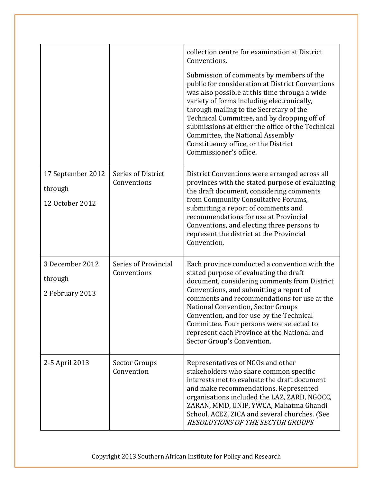|                                                 |                                     | collection centre for examination at District<br>Conventions.                                                                                                                                                                                                                                                                                                                                                                                       |
|-------------------------------------------------|-------------------------------------|-----------------------------------------------------------------------------------------------------------------------------------------------------------------------------------------------------------------------------------------------------------------------------------------------------------------------------------------------------------------------------------------------------------------------------------------------------|
|                                                 |                                     | Submission of comments by members of the<br>public for consideration at District Conventions<br>was also possible at this time through a wide<br>variety of forms including electronically,<br>through mailing to the Secretary of the<br>Technical Committee, and by dropping off of<br>submissions at either the office of the Technical<br>Committee, the National Assembly<br>Constituency office, or the District<br>Commissioner's office.    |
| 17 September 2012<br>through<br>12 October 2012 | Series of District<br>Conventions   | District Conventions were arranged across all<br>provinces with the stated purpose of evaluating<br>the draft document, considering comments<br>from Community Consultative Forums,<br>submitting a report of comments and<br>recommendations for use at Provincial<br>Conventions, and electing three persons to<br>represent the district at the Provincial<br>Convention.                                                                        |
| 3 December 2012<br>through<br>2 February 2013   | Series of Provincial<br>Conventions | Each province conducted a convention with the<br>stated purpose of evaluating the draft<br>document, considering comments from District<br>Conventions, and submitting a report of<br>comments and recommendations for use at the<br><b>National Convention, Sector Groups</b><br>Convention, and for use by the Technical<br>Committee. Four persons were selected to<br>represent each Province at the National and<br>Sector Group's Convention. |
| 2-5 April 2013                                  | Sector Groups<br>Convention         | Representatives of NGOs and other<br>stakeholders who share common specific<br>interests met to evaluate the draft document<br>and make recommendations. Represented<br>organisations included the LAZ, ZARD, NGOCC,<br>ZARAN, MMD, UNIP, YWCA, Mahatma Ghandi<br>School, ACEZ, ZICA and several churches. (See<br><b>RESOLUTIONS OF THE SECTOR GROUPS</b>                                                                                          |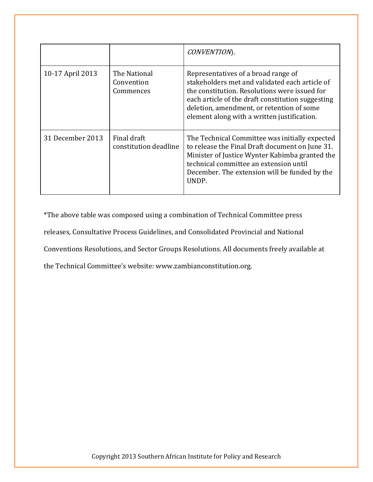|                  |                                         | CONVENTION).                                                                                                                                                                                                                                                                            |
|------------------|-----------------------------------------|-----------------------------------------------------------------------------------------------------------------------------------------------------------------------------------------------------------------------------------------------------------------------------------------|
| 10-17 April 2013 | The National<br>Convention<br>Commences | Representatives of a broad range of<br>stakeholders met and validated each article of<br>the constitution. Resolutions were issued for<br>each article of the draft constitution suggesting<br>deletion, amendment, or retention of some<br>element along with a written justification. |
| 31 December 2013 | Final draft<br>constitution deadline    | The Technical Committee was initially expected<br>to release the Final Draft document on June 31.<br>Minister of Justice Wynter Kabimba granted the<br>technical committee an extension until<br>December. The extension will be funded by the<br>UNDP.                                 |

\*The above table was composed using a combination of Technical Committee press releases, Consultative Process Guidelines, and Consolidated Provincial and National Conventions Resolutions, and Sector Groups Resolutions. All documents freely available at the Technical Committee's website: www.zambianconstitution.org.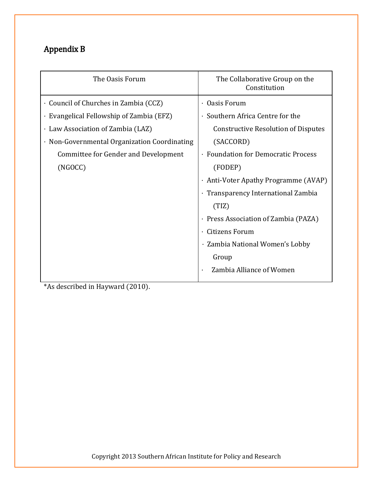# Appendix B

| The Oasis Forum                              | The Collaborative Group on the<br>Constitution |
|----------------------------------------------|------------------------------------------------|
| Council of Churches in Zambia (CCZ)          | · Oasis Forum                                  |
| · Evangelical Fellowship of Zambia (EFZ)     | · Southern Africa Centre for the               |
| · Law Association of Zambia (LAZ)            | <b>Constructive Resolution of Disputes</b>     |
| · Non-Governmental Organization Coordinating | (SACCORD)                                      |
| Committee for Gender and Development         | · Foundation for Democratic Process            |
| (NGOCC)                                      | (FODEP)                                        |
|                                              | · Anti-Voter Apathy Programme (AVAP)           |
|                                              | · Transparency International Zambia            |
|                                              | (TIZ)                                          |
|                                              | · Press Association of Zambia (PAZA)           |
|                                              | <b>Citizens Forum</b>                          |
|                                              | · Zambia National Women's Lobby                |
|                                              | Group                                          |
|                                              | Zambia Alliance of Women                       |

\*As described in Hayward (2010).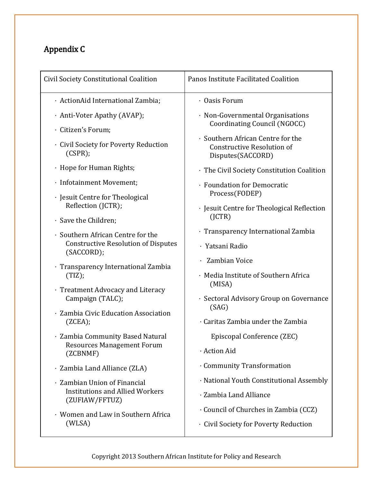# Appendix C

| Civil Society Constitutional Coalition                   | Panos Institute Facilitated Coalition                                                       |
|----------------------------------------------------------|---------------------------------------------------------------------------------------------|
| · ActionAid International Zambia;                        | $\cdot$ Oasis Forum                                                                         |
| · Anti-Voter Apathy (AVAP);                              | · Non-Governmental Organisations<br>Coordinating Council (NGOCC)                            |
| · Citizen's Forum;                                       |                                                                                             |
| · Civil Society for Poverty Reduction<br>(CSPR);         | · Southern African Centre for the<br><b>Constructive Resolution of</b><br>Disputes(SACCORD) |
| · Hope for Human Rights;                                 | · The Civil Society Constitution Coalition                                                  |
| · Infotainment Movement;                                 | · Foundation for Democratic<br>Process(FODEP)                                               |
| · Jesuit Centre for Theological<br>Reflection (JCTR);    | · Jesuit Centre for Theological Reflection                                                  |
| · Save the Children;                                     | (ICTR)                                                                                      |
| · Southern African Centre for the                        | · Transparency International Zambia                                                         |
| <b>Constructive Resolution of Disputes</b><br>(SACCORD); | · Yatsani Radio                                                                             |
|                                                          | Zambian Voice                                                                               |
| · Transparency International Zambia<br>(TIZ);            | · Media Institute of Southern Africa<br>(MISA)                                              |
| · Treatment Advocacy and Literacy<br>Campaign (TALC);    | · Sectoral Advisory Group on Governance                                                     |
| · Zambia Civic Education Association                     | (SAG)                                                                                       |
| (ZCEA);                                                  | · Caritas Zambia under the Zambia                                                           |
| · Zambia Community Based Natural                         | Episcopal Conference (ZEC)                                                                  |
| <b>Resources Management Forum</b><br>(ZCBNMF)            | · Action Aid                                                                                |
| · Zambia Land Alliance (ZLA)                             | Community Transformation                                                                    |
| · Zambian Union of Financial                             | · National Youth Constitutional Assembly                                                    |
| <b>Institutions and Allied Workers</b><br>(ZUFIAW/FFTUZ) | · Zambia Land Alliance                                                                      |
| · Women and Law in Southern Africa                       | Council of Churches in Zambia (CCZ)                                                         |
| (WLSA)                                                   | · Civil Society for Poverty Reduction                                                       |